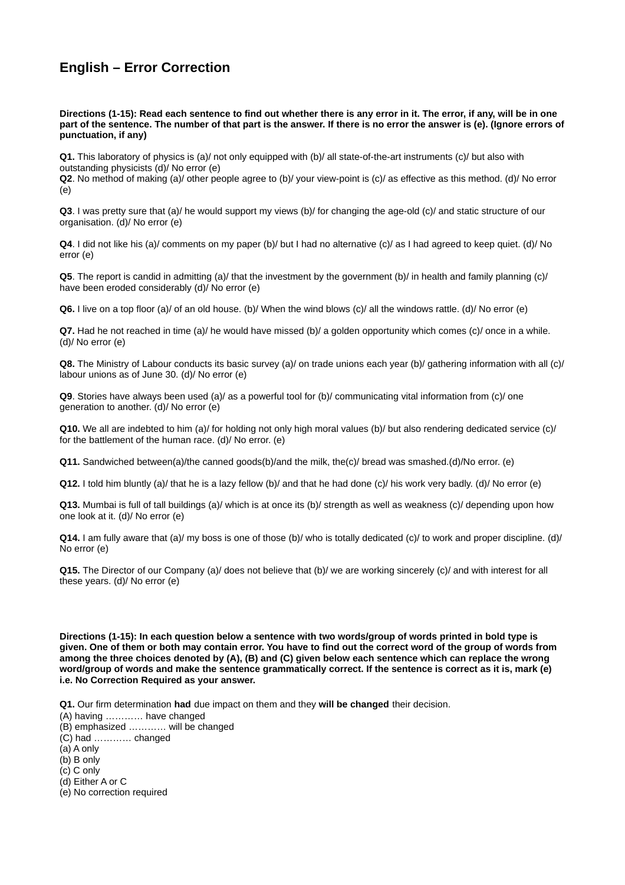## **English – Error Correction**

**Directions (1-15): Read each sentence to find out whether there is any error in it. The error, if any, will be in one part of the sentence. The number of that part is the answer. If there is no error the answer is (e). (Ignore errors of punctuation, if any)**

**Q1.** This laboratory of physics is (a)/ not only equipped with (b)/ all state-of-the-art instruments (c)/ but also with outstanding physicists (d)/ No error (e)

**Q2**. No method of making (a)/ other people agree to (b)/ your view-point is (c)/ as effective as this method. (d)/ No error (e)

**Q3**. I was pretty sure that (a)/ he would support my views (b)/ for changing the age-old (c)/ and static structure of our organisation. (d)/ No error (e)

**Q4**. I did not like his (a)/ comments on my paper (b)/ but I had no alternative (c)/ as I had agreed to keep quiet. (d)/ No error (e)

**Q5**. The report is candid in admitting (a)/ that the investment by the government (b)/ in health and family planning (c)/ have been eroded considerably (d)/ No error (e)

**Q6.** I live on a top floor (a)/ of an old house. (b)/ When the wind blows (c)/ all the windows rattle. (d)/ No error (e)

**Q7.** Had he not reached in time (a)/ he would have missed (b)/ a golden opportunity which comes (c)/ once in a while. (d)/ No error (e)

**Q8.** The Ministry of Labour conducts its basic survey (a)/ on trade unions each year (b)/ gathering information with all (c)/ labour unions as of June 30. (d)/ No error (e)

**Q9**. Stories have always been used (a)/ as a powerful tool for (b)/ communicating vital information from (c)/ one generation to another. (d)/ No error (e)

**Q10.** We all are indebted to him (a)/ for holding not only high moral values (b)/ but also rendering dedicated service (c)/ for the battlement of the human race. (d)/ No error. (e)

**Q11.** Sandwiched between(a)/the canned goods(b)/and the milk, the(c)/ bread was smashed.(d)/No error. (e)

**Q12.** I told him bluntly (a)/ that he is a lazy fellow (b)/ and that he had done (c)/ his work very badly. (d)/ No error (e)

**Q13.** Mumbai is full of tall buildings (a)/ which is at once its (b)/ strength as well as weakness (c)/ depending upon how one look at it. (d)/ No error (e)

**Q14.** I am fully aware that (a)/ my boss is one of those (b)/ who is totally dedicated (c)/ to work and proper discipline. (d)/ No error (e)

**Q15.** The Director of our Company (a)/ does not believe that (b)/ we are working sincerely (c)/ and with interest for all these years. (d)/ No error (e)

**Directions (1-15): In each question below a sentence with two words/group of words printed in bold type is given. One of them or both may contain error. You have to find out the correct word of the group of words from among the three choices denoted by (A), (B) and (C) given below each sentence which can replace the wrong word/group of words and make the sentence grammatically correct. If the sentence is correct as it is, mark (e) i.e. No Correction Required as your answer.**

**Q1.** Our firm determination **had** due impact on them and they **will be changed** their decision.

(A) having ………… have changed

(B) emphasized ………… will be changed

(C) had ………… changed

(a) A only

(b) B only

(c) C only

(d) Either A or C

(e) No correction required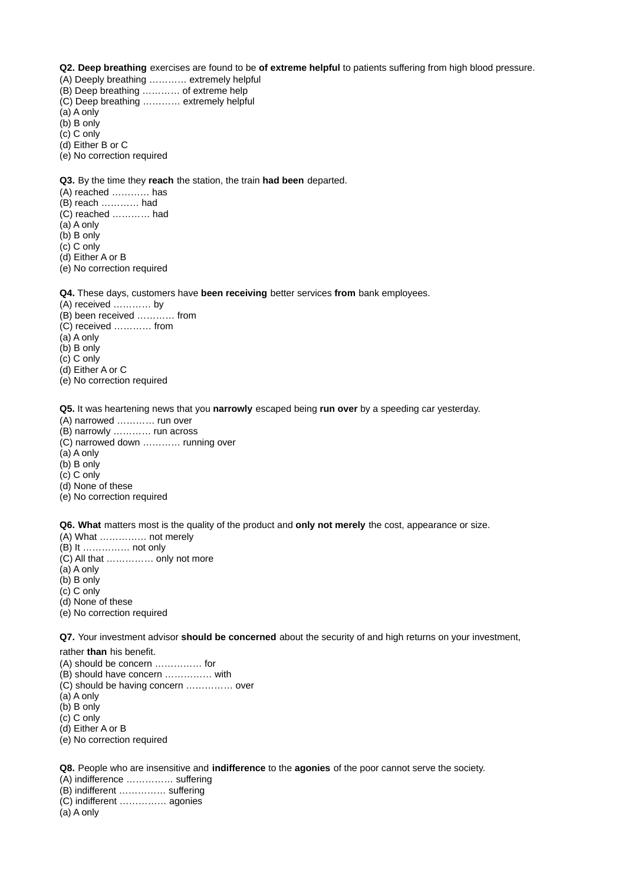**Q2. Deep breathing** exercises are found to be **of extreme helpful** to patients suffering from high blood pressure.

- (A) Deeply breathing ………… extremely helpful
- (B) Deep breathing ………… of extreme help
- (C) Deep breathing ………… extremely helpful

(a) A only

- (b) B only
- (c) C only

(d) Either B or C

(e) No correction required

**Q3.** By the time they **reach** the station, the train **had been** departed.

- (A) reached ………… has
- (B) reach ………… had
- (C) reached ………… had
- (a) A only
- (b) B only
- (c) C only
- (d) Either A or B
- (e) No correction required

**Q4.** These days, customers have **been receiving** better services **from** bank employees.

- (A) received ………… by
- (B) been received ………… from
- (C) received ………… from
- (a) A only
- (b) B only
- (c) C only
- (d) Either A or C
- (e) No correction required

**Q5.** It was heartening news that you **narrowly** escaped being **run over** by a speeding car yesterday.

- (A) narrowed ………… run over
- (B) narrowly ………… run across
- (C) narrowed down ………… running over
- (a) A only
- (b) B only
- (c) C only (d) None of these
- (e) No correction required

**Q6. What** matters most is the quality of the product and **only not merely** the cost, appearance or size.

- (A) What …………… not merely
- (B) It …………… not only
- (C) All that …………… only not more
- (a) A only
- (b) B only
- (c) C only
- (d) None of these
- (e) No correction required

**Q7.** Your investment advisor **should be concerned** about the security of and high returns on your investment,

rather **than** his benefit.

- (A) should be concern …………… for
- (B) should have concern …………… with
- (C) should be having concern …………… over
- (a) A only
- (b) B only
- (c) C only
- (d) Either A or B
- (e) No correction required

**Q8.** People who are insensitive and **indifference** to the **agonies** of the poor cannot serve the society.

- (A) indifference …………… suffering
- (B) indifferent …………… suffering
- (C) indifferent …………… agonies

(a) A only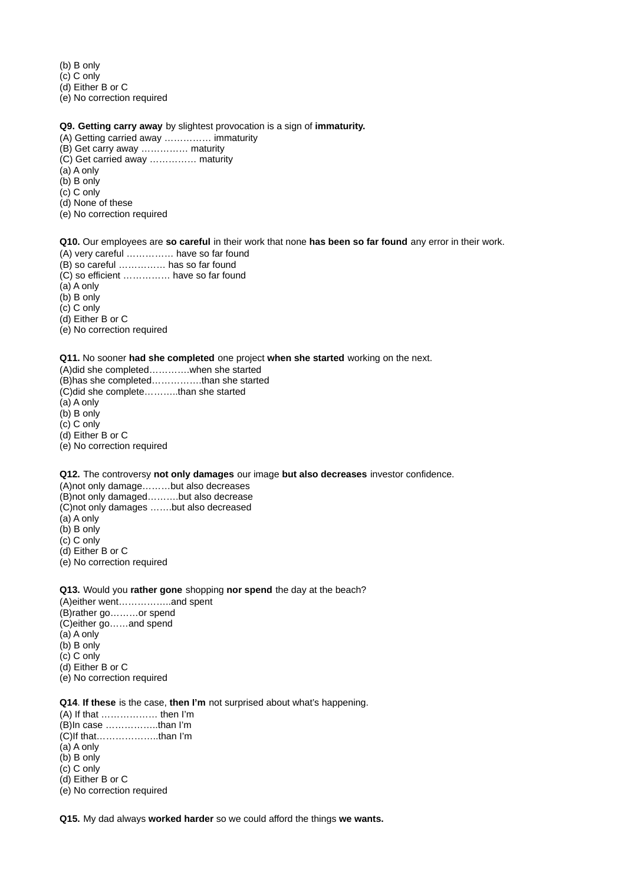(b) B only

(c) C only

(d) Either B or C

(e) No correction required

- **Q9. Getting carry away** by slightest provocation is a sign of **immaturity.**
- (A) Getting carried away …………… immaturity
- (B) Get carry away …………… maturity
- (C) Get carried away …………… maturity
- (a) A only
- (b) B only
- (c) C only
- (d) None of these
- (e) No correction required

**Q10.** Our employees are **so careful** in their work that none **has been so far found** any error in their work.

- (A) very careful …………… have so far found
- (B) so careful …………… has so far found
- (C) so efficient …………… have so far found
- (a) A only
- (b) B only
- (c) C only
- (d) Either B or C
- (e) No correction required

#### **Q11.** No sooner **had she completed** one project **when she started** working on the next.

(A)did she completed………….when she started (B)has she completed…………….than she started (C)did she complete………..than she started (a) A only (b) B only (c) C only (d) Either B or C (e) No correction required

**Q12.** The controversy **not only damages** our image **but also decreases** investor confidence.

(A)not only damage………but also decreases (B)not only damaged……….but also decrease

- (C)not only damages …….but also decreased
- (a) A only
- (b) B only
- (c) C only
- (d) Either B or C
- (e) No correction required

**Q13.** Would you **rather gone** shopping **nor spend** the day at the beach?

(A)either went……………..and spent (B)rather go………or spend (C)either go……and spend (a) A only (b) B only (c) C only (d) Either B or C (e) No correction required

#### **Q14**. **If these** is the case, **then I'm** not surprised about what's happening.

(A) If that ……………… then I'm (B)In case ……………..than I'm (C)If that………………..than I'm (a) A only (b) B only (c) C only (d) Either B or C (e) No correction required

**Q15.** My dad always **worked harder** so we could afford the things **we wants.**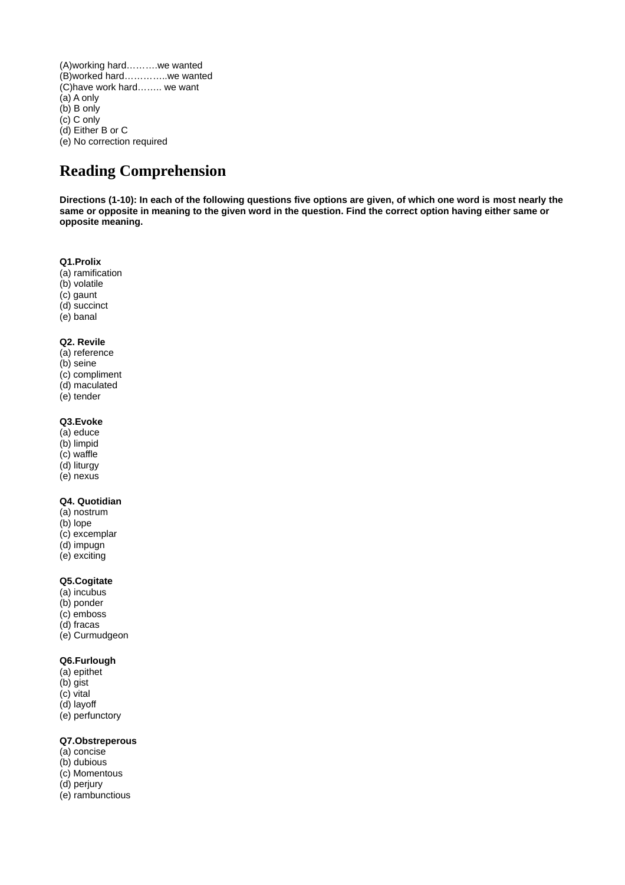(A)working hard……….we wanted (B)worked hard…………..we wanted (C)have work hard…….. we want (a) A only (b) B only (c) C only (d) Either B or C (e) No correction required

# **Reading Comprehension**

**Directions (1-10): In each of the following questions five options are given, of which one word is most nearly the same or opposite in meaning to the given word in the question. Find the correct option having either same or opposite meaning.**

#### **Q1.Prolix**

- (a) ramification
- (b) volatile
- (c) gaunt
- (d) succinct
- (e) banal

#### **Q2. Revile**

- (a) reference
- (b) seine
- (c) compliment
- (d) maculated
- (e) tender

## **Q3.Evoke**

- (a) educe
- (b) limpid
- (c) waffle
- (d) liturgy
- (e) nexus

### **Q4. Quotidian**

- (a) nostrum
- (b) lope
- (c) excemplar
- (d) impugn
- (e) exciting

## **Q5.Cogitate**

- (a) incubus
- (b) ponder
- (c) emboss (d) fracas
- (e) Curmudgeon

## **Q6.Furlough**

- (a) epithet
- (b) gist
- (c) vital
- (d) layoff
- (e) perfunctory

#### **Q7.Obstreperous**

- (a) concise
- (b) dubious
- (c) Momentous
- (d) perjury
- (e) rambunctious